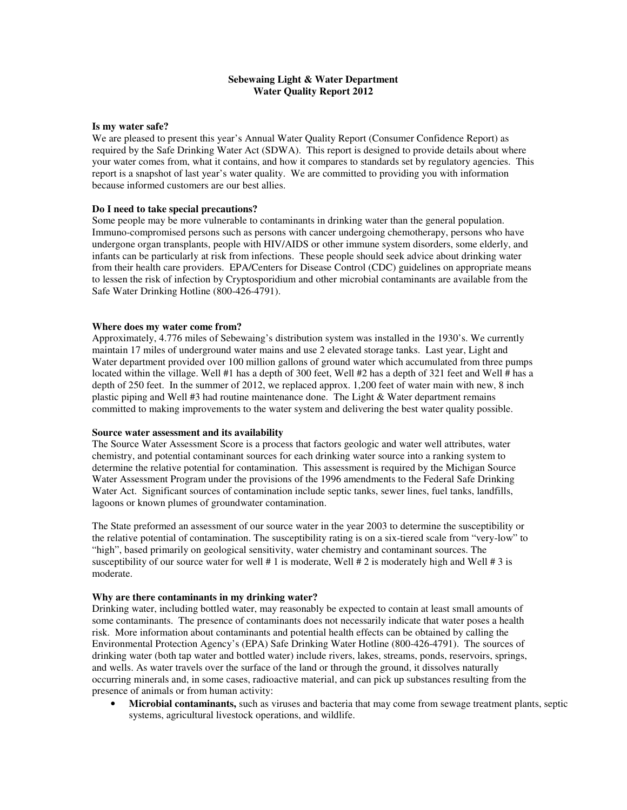## **Sebewaing Light & Water Department Water Quality Report 2012**

#### **Is my water safe?**

We are pleased to present this year's Annual Water Quality Report (Consumer Confidence Report) as required by the Safe Drinking Water Act (SDWA). This report is designed to provide details about where your water comes from, what it contains, and how it compares to standards set by regulatory agencies. This report is a snapshot of last year's water quality. We are committed to providing you with information because informed customers are our best allies.

## **Do I need to take special precautions?**

Some people may be more vulnerable to contaminants in drinking water than the general population. Immuno-compromised persons such as persons with cancer undergoing chemotherapy, persons who have undergone organ transplants, people with HIV/AIDS or other immune system disorders, some elderly, and infants can be particularly at risk from infections. These people should seek advice about drinking water from their health care providers. EPA/Centers for Disease Control (CDC) guidelines on appropriate means to lessen the risk of infection by Cryptosporidium and other microbial contaminants are available from the Safe Water Drinking Hotline (800-426-4791).

#### **Where does my water come from?**

Approximately, 4.776 miles of Sebewaing's distribution system was installed in the 1930's. We currently maintain 17 miles of underground water mains and use 2 elevated storage tanks. Last year, Light and Water department provided over 100 million gallons of ground water which accumulated from three pumps located within the village. Well #1 has a depth of 300 feet, Well #2 has a depth of 321 feet and Well # has a depth of 250 feet. In the summer of 2012, we replaced approx. 1,200 feet of water main with new, 8 inch plastic piping and Well #3 had routine maintenance done. The Light & Water department remains committed to making improvements to the water system and delivering the best water quality possible.

## **Source water assessment and its availability**

The Source Water Assessment Score is a process that factors geologic and water well attributes, water chemistry, and potential contaminant sources for each drinking water source into a ranking system to determine the relative potential for contamination. This assessment is required by the Michigan Source Water Assessment Program under the provisions of the 1996 amendments to the Federal Safe Drinking Water Act. Significant sources of contamination include septic tanks, sewer lines, fuel tanks, landfills, lagoons or known plumes of groundwater contamination.

The State preformed an assessment of our source water in the year 2003 to determine the susceptibility or the relative potential of contamination. The susceptibility rating is on a six-tiered scale from "very-low" to "high", based primarily on geological sensitivity, water chemistry and contaminant sources. The susceptibility of our source water for well  $\# 1$  is moderate, Well  $\# 2$  is moderately high and Well  $\# 3$  is moderate.

## **Why are there contaminants in my drinking water?**

Drinking water, including bottled water, may reasonably be expected to contain at least small amounts of some contaminants. The presence of contaminants does not necessarily indicate that water poses a health risk. More information about contaminants and potential health effects can be obtained by calling the Environmental Protection Agency's (EPA) Safe Drinking Water Hotline (800-426-4791). The sources of drinking water (both tap water and bottled water) include rivers, lakes, streams, ponds, reservoirs, springs, and wells. As water travels over the surface of the land or through the ground, it dissolves naturally occurring minerals and, in some cases, radioactive material, and can pick up substances resulting from the presence of animals or from human activity:

• **Microbial contaminants,** such as viruses and bacteria that may come from sewage treatment plants, septic systems, agricultural livestock operations, and wildlife.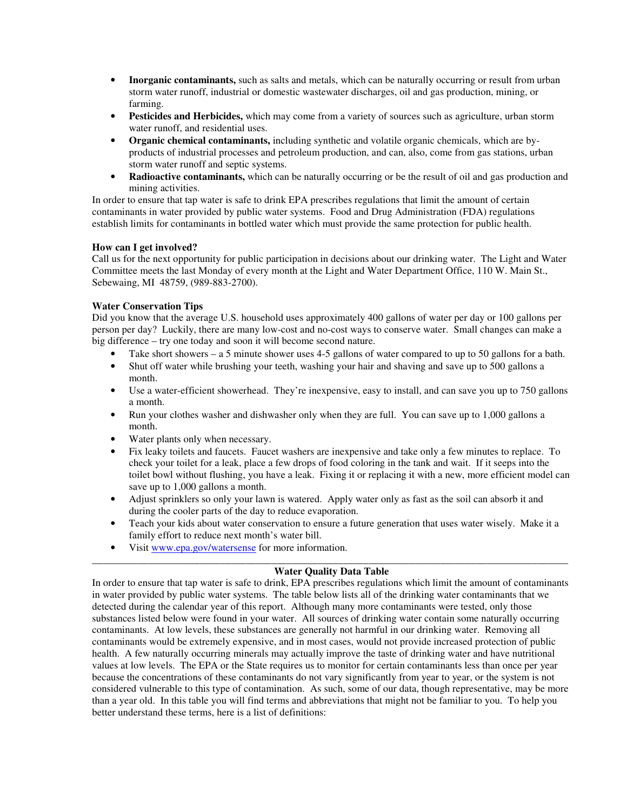- **Inorganic contaminants,** such as salts and metals, which can be naturally occurring or result from urban storm water runoff, industrial or domestic wastewater discharges, oil and gas production, mining, or farming.
- **Pesticides and Herbicides,** which may come from a variety of sources such as agriculture, urban storm water runoff, and residential uses.
- **Organic chemical contaminants,** including synthetic and volatile organic chemicals, which are byproducts of industrial processes and petroleum production, and can, also, come from gas stations, urban storm water runoff and septic systems.
- **Radioactive contaminants,** which can be naturally occurring or be the result of oil and gas production and mining activities.

In order to ensure that tap water is safe to drink EPA prescribes regulations that limit the amount of certain contaminants in water provided by public water systems. Food and Drug Administration (FDA) regulations establish limits for contaminants in bottled water which must provide the same protection for public health.

## **How can I get involved?**

Call us for the next opportunity for public participation in decisions about our drinking water. The Light and Water Committee meets the last Monday of every month at the Light and Water Department Office, 110 W. Main St., Sebewaing, MI 48759, (989-883-2700).

## **Water Conservation Tips**

Did you know that the average U.S. household uses approximately 400 gallons of water per day or 100 gallons per person per day? Luckily, there are many low-cost and no-cost ways to conserve water. Small changes can make a big difference – try one today and soon it will become second nature.

- Take short showers a 5 minute shower uses 4-5 gallons of water compared to up to 50 gallons for a bath.
- Shut off water while brushing your teeth, washing your hair and shaving and save up to 500 gallons a month.
- Use a water-efficient showerhead. They're inexpensive, easy to install, and can save you up to 750 gallons a month.
- Run your clothes washer and dishwasher only when they are full. You can save up to 1,000 gallons a month.
- Water plants only when necessary.
- Fix leaky toilets and faucets. Faucet washers are inexpensive and take only a few minutes to replace. To check your toilet for a leak, place a few drops of food coloring in the tank and wait. If it seeps into the toilet bowl without flushing, you have a leak. Fixing it or replacing it with a new, more efficient model can save up to 1,000 gallons a month.
- Adjust sprinklers so only your lawn is watered. Apply water only as fast as the soil can absorb it and during the cooler parts of the day to reduce evaporation.
- Teach your kids about water conservation to ensure a future generation that uses water wisely. Make it a family effort to reduce next month's water bill.
- Visit www.epa.gov/watersense for more information.

## \_\_\_\_\_\_\_\_\_\_\_\_\_\_\_\_\_\_\_\_\_\_\_\_\_\_\_\_\_\_\_\_\_\_\_\_\_\_\_\_\_\_\_\_\_\_\_\_\_\_\_\_\_\_\_\_\_\_\_\_\_\_\_\_\_\_\_\_\_\_\_\_\_\_\_\_\_\_\_\_\_\_\_\_\_\_\_\_\_\_\_\_\_ **Water Quality Data Table**

In order to ensure that tap water is safe to drink, EPA prescribes regulations which limit the amount of contaminants in water provided by public water systems. The table below lists all of the drinking water contaminants that we detected during the calendar year of this report. Although many more contaminants were tested, only those substances listed below were found in your water. All sources of drinking water contain some naturally occurring contaminants. At low levels, these substances are generally not harmful in our drinking water. Removing all contaminants would be extremely expensive, and in most cases, would not provide increased protection of public health. A few naturally occurring minerals may actually improve the taste of drinking water and have nutritional values at low levels. The EPA or the State requires us to monitor for certain contaminants less than once per year because the concentrations of these contaminants do not vary significantly from year to year, or the system is not considered vulnerable to this type of contamination. As such, some of our data, though representative, may be more than a year old. In this table you will find terms and abbreviations that might not be familiar to you. To help you better understand these terms, here is a list of definitions: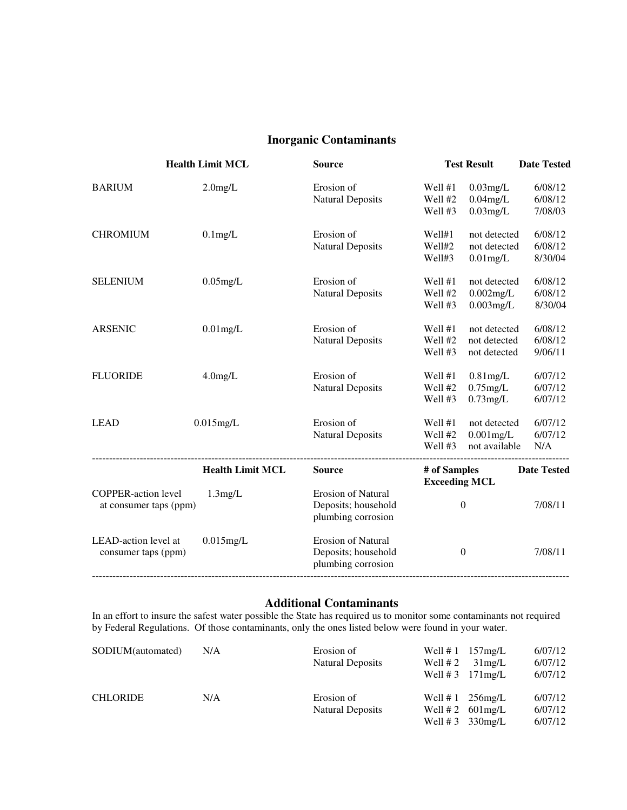# **Inorganic Contaminants**

|                                                      | <b>Health Limit MCL</b> | <b>Source</b>                                                          |                                      | <b>Test Result</b>                            | <b>Date Tested</b>            |
|------------------------------------------------------|-------------------------|------------------------------------------------------------------------|--------------------------------------|-----------------------------------------------|-------------------------------|
| <b>BARIUM</b>                                        | $2.0$ mg/L              | Erosion of<br><b>Natural Deposits</b>                                  | Well #1<br>Well #2<br>Well #3        | $0.03$ mg/L<br>$0.04$ mg/L<br>$0.03$ mg/L     | 6/08/12<br>6/08/12<br>7/08/03 |
| <b>CHROMIUM</b>                                      | $0.1$ mg/L              | Erosion of<br><b>Natural Deposits</b>                                  | Well#1<br>Well#2<br>Well#3           | not detected<br>not detected<br>$0.01$ mg/L   | 6/08/12<br>6/08/12<br>8/30/04 |
| <b>SELENIUM</b>                                      | $0.05$ mg/L             | Erosion of<br><b>Natural Deposits</b>                                  | Well #1<br>Well #2<br>Well #3        | not detected<br>$0.002$ mg/L<br>$0.003$ mg/L  | 6/08/12<br>6/08/12<br>8/30/04 |
| <b>ARSENIC</b>                                       | $0.01$ mg/L             | Erosion of<br><b>Natural Deposits</b>                                  | Well #1<br>Well #2<br>Well #3        | not detected<br>not detected<br>not detected  | 6/08/12<br>6/08/12<br>9/06/11 |
| <b>FLUORIDE</b>                                      | $4.0$ mg/L              | Erosion of<br><b>Natural Deposits</b>                                  | Well #1<br>Well #2<br>Well #3        | $0.81$ mg/L<br>$0.75$ mg/L<br>$0.73$ mg/L     | 6/07/12<br>6/07/12<br>6/07/12 |
| <b>LEAD</b>                                          | $0.015$ mg/L            | Erosion of<br><b>Natural Deposits</b>                                  | Well #1<br>Well #2<br>Well #3        | not detected<br>$0.001$ mg/L<br>not available | 6/07/12<br>6/07/12<br>N/A     |
|                                                      | <b>Health Limit MCL</b> | <b>Source</b>                                                          | # of Samples<br><b>Exceeding MCL</b> |                                               | <b>Date Tested</b>            |
| <b>COPPER-action level</b><br>at consumer taps (ppm) | 1.3mg/L                 | <b>Erosion of Natural</b><br>Deposits; household<br>plumbing corrosion |                                      | $\boldsymbol{0}$                              | 7/08/11                       |
| LEAD-action level at<br>consumer taps (ppm)          | $0.015$ mg/L            | <b>Erosion of Natural</b><br>Deposits; household<br>plumbing corrosion |                                      | $\boldsymbol{0}$                              | 7/08/11                       |

# **Additional Contaminants**

In an effort to insure the safest water possible the State has required us to monitor some contaminants not required by Federal Regulations. Of those contaminants, only the ones listed below were found in your water.

| SODIUM(automated) | N/A | Erosion of<br>Natural Deposits        | Well $# 2$ | Well $# 1$ 157 mg/L<br>31mg/L<br>Well # $3 \quad 171$ mg/L     | 6/07/12<br>6/07/12<br>6/07/12 |
|-------------------|-----|---------------------------------------|------------|----------------------------------------------------------------|-------------------------------|
| <b>CHLORIDE</b>   | N/A | Erosion of<br><b>Natural Deposits</b> | Well $# 1$ | $256$ mg/L<br>Well # 2 $601$ mg/L<br>Well # $3 \cdot 330$ mg/L | 6/07/12<br>6/07/12<br>6/07/12 |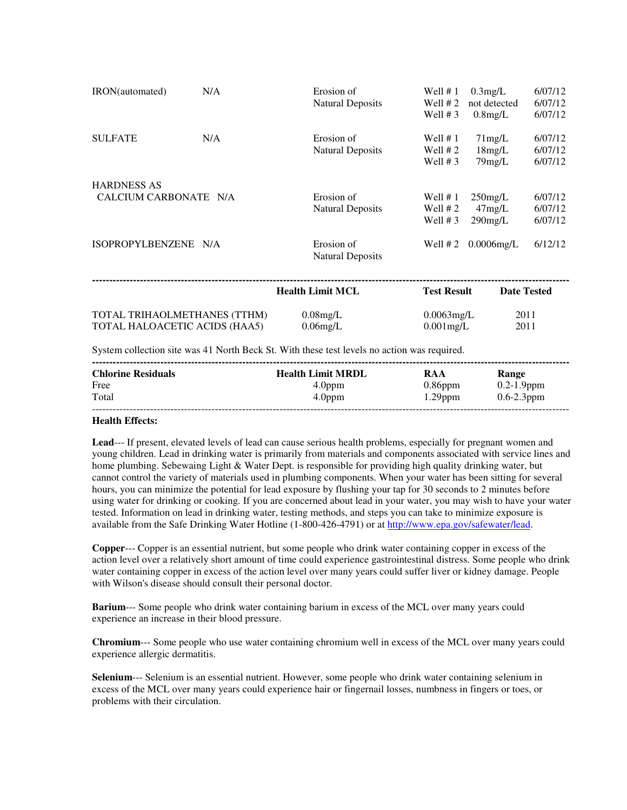| IRON(automated)                             | N/A | Erosion of<br><b>Natural Deposits</b> | Well $# 1$<br>Well $# 2$<br>Well $# 3$ | 0.3mg/L<br>not detected<br>$0.8$ mg/L | 6/07/12<br>6/07/12<br>6/07/12 |
|---------------------------------------------|-----|---------------------------------------|----------------------------------------|---------------------------------------|-------------------------------|
| <b>SULFATE</b>                              | N/A | Erosion of<br><b>Natural Deposits</b> | Well $# 1$<br>Well $# 2$<br>Well $# 3$ | 71mg/L<br>18mg/L<br>$79$ mg/L         | 6/07/12<br>6/07/12<br>6/07/12 |
| <b>HARDNESS AS</b><br>CALCIUM CARBONATE N/A |     | Erosion of<br><b>Natural Deposits</b> | Well $# 1$<br>Well $# 2$<br>Well $# 3$ | $250$ mg/L<br>47mg/L<br>$290$ mg/L    | 6/07/12<br>6/07/12<br>6/07/12 |
| ISOPROPYLBENZENE N/A                        |     | Erosion of<br><b>Natural Deposits</b> | Well $# 2$                             | $0.0006$ mg/L                         | 6/12/12                       |
|                                             |     | <b>Health Limit MCL</b>               | <b>Test Result</b>                     | <b>Date Tested</b>                    |                               |

System collection site was 41 North Beck St. With these test levels no action was required.

| <b>Chlorine Residuals</b> | <b>Health Limit MRDL</b> | RAA        | Range           |
|---------------------------|--------------------------|------------|-----------------|
| Free                      | 4.0 <sub>ppm</sub>       | $0.86$ ppm | $0.2 - 1.9$ ppm |
| Total                     | 4.0 <sub>ppm</sub>       | $1.29$ ppm | $0.6 - 2.3$ ppm |
|                           |                          |            |                 |

TOTAL TRIHAOLMETHANES (TTHM) 0.08mg/L 0.0063mg/L 2011 TOTAL HALOACETIC ACIDS (HAA5) 0.06mg/L 0.001mg/L 2011

## **Health Effects:**

**Lead**--- If present, elevated levels of lead can cause serious health problems, especially for pregnant women and young children. Lead in drinking water is primarily from materials and components associated with service lines and home plumbing. Sebewaing Light & Water Dept. is responsible for providing high quality drinking water, but cannot control the variety of materials used in plumbing components. When your water has been sitting for several hours, you can minimize the potential for lead exposure by flushing your tap for 30 seconds to 2 minutes before using water for drinking or cooking. If you are concerned about lead in your water, you may wish to have your water tested. Information on lead in drinking water, testing methods, and steps you can take to minimize exposure is available from the Safe Drinking Water Hotline (1-800-426-4791) or at http://www.epa.gov/safewater/lead.

**Copper**--- Copper is an essential nutrient, but some people who drink water containing copper in excess of the action level over a relatively short amount of time could experience gastrointestinal distress. Some people who drink water containing copper in excess of the action level over many years could suffer liver or kidney damage. People with Wilson's disease should consult their personal doctor.

**Barium**--- Some people who drink water containing barium in excess of the MCL over many years could experience an increase in their blood pressure.

**Chromium**--- Some people who use water containing chromium well in excess of the MCL over many years could experience allergic dermatitis.

**Selenium**--- Selenium is an essential nutrient. However, some people who drink water containing selenium in excess of the MCL over many years could experience hair or fingernail losses, numbness in fingers or toes, or problems with their circulation.